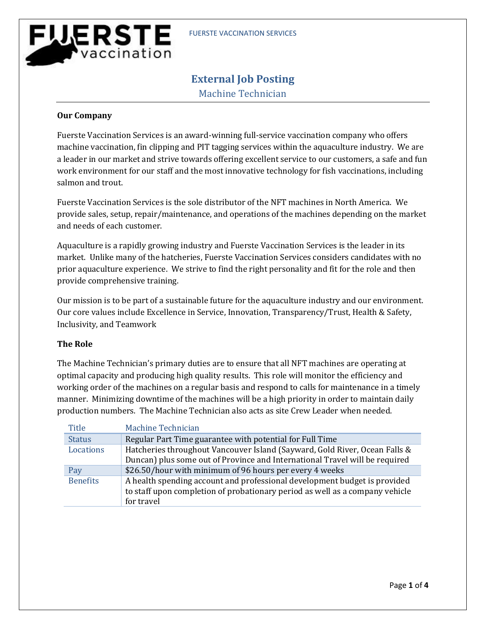# **WERSTE** vaccination

# **External Job Posting**

Machine Technician

### **Our Company**

Fuerste Vaccination Services is an award-winning full-service vaccination company who offers machine vaccination, fin clipping and PIT tagging services within the aquaculture industry. We are a leader in our market and strive towards offering excellent service to our customers, a safe and fun work environment for our staff and the most innovative technology for fish vaccinations, including salmon and trout.

Fuerste Vaccination Services is the sole distributor of the NFT machines in North America. We provide sales, setup, repair/maintenance, and operations of the machines depending on the market and needs of each customer.

Aquaculture is a rapidly growing industry and Fuerste Vaccination Services is the leader in its market. Unlike many of the hatcheries, Fuerste Vaccination Services considers candidates with no prior aquaculture experience. We strive to find the right personality and fit for the role and then provide comprehensive training.

Our mission is to be part of a sustainable future for the aquaculture industry and our environment. Our core values include Excellence in Service, Innovation, Transparency/Trust, Health & Safety, Inclusivity, and Teamwork

## **The Role**

The Machine Technician's primary duties are to ensure that all NFT machines are operating at optimal capacity and producing high quality results. This role will monitor the efficiency and working order of the machines on a regular basis and respond to calls for maintenance in a timely manner. Minimizing downtime of the machines will be a high priority in order to maintain daily production numbers. The Machine Technician also acts as site Crew Leader when needed.

| Title           | Machine Technician                                                                                                                                                      |
|-----------------|-------------------------------------------------------------------------------------------------------------------------------------------------------------------------|
| <b>Status</b>   | Regular Part Time guarantee with potential for Full Time                                                                                                                |
| Locations       | Hatcheries throughout Vancouver Island (Sayward, Gold River, Ocean Falls &<br>Duncan) plus some out of Province and International Travel will be required               |
| Pay             | \$26.50/hour with minimum of 96 hours per every 4 weeks                                                                                                                 |
| <b>Benefits</b> | A health spending account and professional development budget is provided<br>to staff upon completion of probationary period as well as a company vehicle<br>for travel |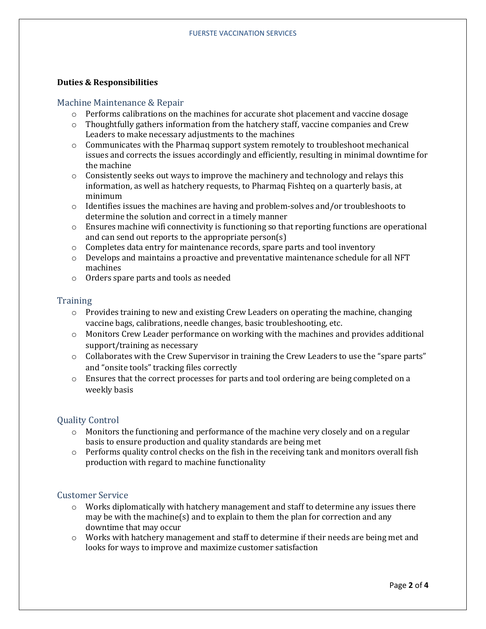#### **Duties & Responsibilities**

#### Machine Maintenance & Repair

- o Performs calibrations on the machines for accurate shot placement and vaccine dosage
- $\circ$  Thoughtfully gathers information from the hatchery staff, vaccine companies and Crew Leaders to make necessary adjustments to the machines
- $\circ$  Communicates with the Pharmaq support system remotely to troubleshoot mechanical issues and corrects the issues accordingly and efficiently, resulting in minimal downtime for the machine
- $\circ$  Consistently seeks out ways to improve the machinery and technology and relays this information, as well as hatchery requests, to Pharmaq Fishteq on a quarterly basis, at minimum
- $\circ$  Identifies issues the machines are having and problem-solves and/or troubleshoots to determine the solution and correct in a timely manner
- o Ensures machine wifi connectivity is functioning so that reporting functions are operational and can send out reports to the appropriate person(s)
- $\circ$  Completes data entry for maintenance records, spare parts and tool inventory
- o Develops and maintains a proactive and preventative maintenance schedule for all NFT machines
- o Orders spare parts and tools as needed

#### **Training**

- $\circ$  Provides training to new and existing Crew Leaders on operating the machine, changing vaccine bags, calibrations, needle changes, basic troubleshooting, etc.
- $\circ$  Monitors Crew Leader performance on working with the machines and provides additional support/training as necessary
- $\circ$  Collaborates with the Crew Supervisor in training the Crew Leaders to use the "spare parts" and "onsite tools" tracking files correctly
- $\circ$  Ensures that the correct processes for parts and tool ordering are being completed on a weekly basis

#### Quality Control

- $\circ$  Monitors the functioning and performance of the machine very closely and on a regular basis to ensure production and quality standards are being met
- $\circ$  Performs quality control checks on the fish in the receiving tank and monitors overall fish production with regard to machine functionality

#### Customer Service

- $\circ$  Works diplomatically with hatchery management and staff to determine any issues there may be with the machine(s) and to explain to them the plan for correction and any downtime that may occur
- o Works with hatchery management and staff to determine if their needs are being met and looks for ways to improve and maximize customer satisfaction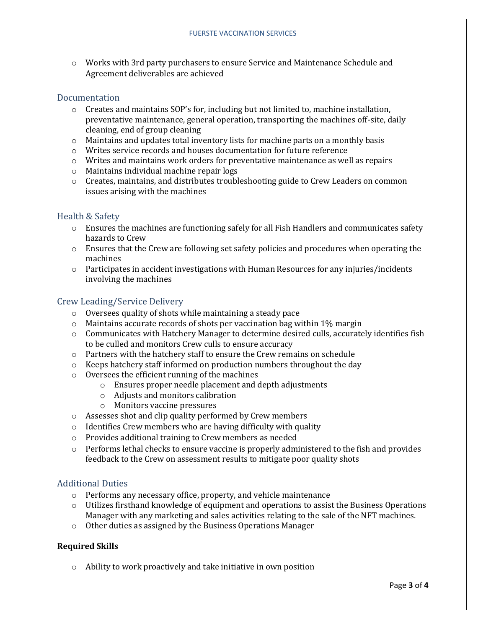o Works with 3rd party purchasers to ensure Service and Maintenance Schedule and Agreement deliverables are achieved

#### Documentation

- $\circ$  Creates and maintains SOP's for, including but not limited to, machine installation, preventative maintenance, general operation, transporting the machines off-site, daily cleaning, end of group cleaning
- $\circ$  Maintains and updates total inventory lists for machine parts on a monthly basis
- $\circ$  Writes service records and houses documentation for future reference
- $\circ$  Writes and maintains work orders for preventative maintenance as well as repairs
- o Maintains individual machine repair logs
- o Creates, maintains, and distributes troubleshooting guide to Crew Leaders on common issues arising with the machines

#### Health & Safety

- $\circ$  Ensures the machines are functioning safely for all Fish Handlers and communicates safety hazards to Crew
- o Ensures that the Crew are following set safety policies and procedures when operating the machines
- $\circ$  Participates in accident investigations with Human Resources for any injuries/incidents involving the machines

#### Crew Leading/Service Delivery

- o Oversees quality of shots while maintaining a steady pace
- o Maintains accurate records of shots per vaccination bag within 1% margin
- $\circ$  Communicates with Hatchery Manager to determine desired culls, accurately identifies fish to be culled and monitors Crew culls to ensure accuracy
- o Partners with the hatchery staff to ensure the Crew remains on schedule
- $\circ$  Keeps hatchery staff informed on production numbers throughout the day
- o Oversees the efficient running of the machines
	- o Ensures proper needle placement and depth adjustments
	- o Adjusts and monitors calibration
	- o Monitors vaccine pressures
- o Assesses shot and clip quality performed by Crew members
- $\circ$  Identifies Crew members who are having difficulty with quality
- o Provides additional training to Crew members as needed
- $\circ$  Performs lethal checks to ensure vaccine is properly administered to the fish and provides feedback to the Crew on assessment results to mitigate poor quality shots

#### Additional Duties

- o Performs any necessary office, property, and vehicle maintenance
- $\circ$  Utilizes firsthand knowledge of equipment and operations to assist the Business Operations Manager with any marketing and sales activities relating to the sale of the NFT machines.
- o Other duties as assigned by the Business Operations Manager

#### **Required Skills**

o Ability to work proactively and take initiative in own position